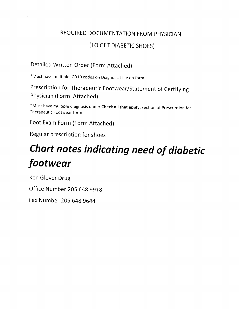### REQUIRED DOCUMENTATION FROM PHYSICIAN (TO GET DIABETIC SHOES)

### Detailed Written Order (Form Attached)

\*Must have multiple rcD10 codes on Diagnosis Line on form.

Prescription for Therapeutic Footwear/statement of certifying Physician (Form Attached)

\*Must have multiple diagnosis under Check allthat apply: section of prescription for Therapeutic Footwear form.

Foot Exam Form (Form Attached)

Regular prescription for shoes

# Chart notes indicating need of diabetic footwear

Ken Glover Drug Office Number 205 648 9919 Fax Number 205 G48 9644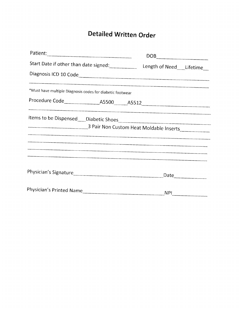## Detailed Written Order

| Patient:                                                      |  |            | $\begin{picture}(180,10) \put(0,0){\line(1,0){100}} \put(0,0){\line(1,0){100}} \put(0,0){\line(1,0){100}} \put(0,0){\line(1,0){100}} \put(0,0){\line(1,0){100}} \put(0,0){\line(1,0){100}} \put(0,0){\line(1,0){100}} \put(0,0){\line(1,0){100}} \put(0,0){\line(1,0){100}} \put(0,0){\line(1,0){100}} \put(0,0){\line(1,0){100}} \put(0,0){\line($ |
|---------------------------------------------------------------|--|------------|-----------------------------------------------------------------------------------------------------------------------------------------------------------------------------------------------------------------------------------------------------------------------------------------------------------------------------------------------------|
| Start Date if other than date signed: Length of Need Lifetime |  |            |                                                                                                                                                                                                                                                                                                                                                     |
| Diagnosis ICD 10 Code                                         |  |            |                                                                                                                                                                                                                                                                                                                                                     |
| *Must have multiple Diagnosis codes for diabetic footwear     |  |            |                                                                                                                                                                                                                                                                                                                                                     |
|                                                               |  |            |                                                                                                                                                                                                                                                                                                                                                     |
| 3 Pair Non Custom Heat Moldable Inserts                       |  |            |                                                                                                                                                                                                                                                                                                                                                     |
|                                                               |  |            |                                                                                                                                                                                                                                                                                                                                                     |
|                                                               |  |            |                                                                                                                                                                                                                                                                                                                                                     |
|                                                               |  | <b>NPI</b> |                                                                                                                                                                                                                                                                                                                                                     |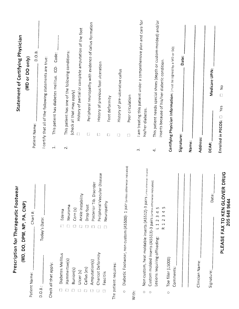|                                                                            | Prescription for Therapeutic Footwear                                                                                                                                                                          |                     | <b>Statement of Certifying Physician</b>                                                                           |
|----------------------------------------------------------------------------|----------------------------------------------------------------------------------------------------------------------------------------------------------------------------------------------------------------|---------------------|--------------------------------------------------------------------------------------------------------------------|
|                                                                            | (MD, DO, DPM, NP, PA, CNP)                                                                                                                                                                                     |                     |                                                                                                                    |
| Patient Name:                                                              | Chart#:                                                                                                                                                                                                        |                     | (MD or DO only)<br>Patient Name:                                                                                   |
| D.O.B.                                                                     | Today's Date:                                                                                                                                                                                                  |                     | D.O.B.<br>I certify that all of the following statements are true:                                                 |
| Check all that apply:                                                      |                                                                                                                                                                                                                | $\overline{1}$      | Code:<br>This patient has diabetes mellitus. ICD-                                                                  |
| Diabetes Mellitus<br>ℿ                                                     | m                                                                                                                                                                                                              |                     |                                                                                                                    |
| Hammertoe(s)<br>$B$ union $(s)$                                            | Neuroma<br>Corn (s)<br>Edema                                                                                                                                                                                   | $\overline{\sim}$   | This patient has one of the following conditions:<br>(check all that may apply)                                    |
| Callus (es)<br>Ulcer (s)                                                   | Ankle instability                                                                                                                                                                                              |                     | History of partial or complete amputation of the foot                                                              |
| Amputation(s)                                                              | Posterior Tib. Disorder<br>Drop foot                                                                                                                                                                           |                     | Peripheral neuropathy with evidence of callus formation<br>$\Box$                                                  |
| Charcot Deformity                                                          | Peripheral Vascular Disease                                                                                                                                                                                    |                     | History of previous foot ulceration<br>$[ \ ]$                                                                     |
| Fascitiis                                                                  | Neuropathy                                                                                                                                                                                                     |                     | Foot deformity<br>$\Box$                                                                                           |
| The patient requires:                                                      |                                                                                                                                                                                                                |                     | $\begin{array}{c} \square \end{array}$                                                                             |
| $\circ$                                                                    | Diabetic Footwear, non custom (A5500)- 1 pair (unless otherwise indicated)                                                                                                                                     |                     | History of pre-ulcerative callus                                                                                   |
| With:                                                                      |                                                                                                                                                                                                                |                     | Poor circulation<br>$\begin{bmatrix} 1 \\ 1 \end{bmatrix}$                                                         |
|                                                                            |                                                                                                                                                                                                                | $\vec{m}$           | I am treating this patient under a comprehensive plan and care for                                                 |
| Non custom, heat moldable inserts (A5512)-3 pairs<br>$\bigcirc$<br>$\circ$ | (unless otherwise indicated)                                                                                                                                                                                   |                     | his/her diabetes.                                                                                                  |
| Lesions requiring offloading:                                              | Custom molded inserts (A5513)-3 pairs (unless otherwise indicated)<br>LN,<br>S<br>4<br>$\overline{a}$<br>$\sim$<br>$\infty$<br>$\sim$<br>$\sim$<br>$\blacksquare$<br>$\mathbf{\overline{u}}$<br>$\propto$<br>┙ | $\vec{q}$           | This patient needs special shoes (depth or custom-molded) and/or<br>inserts because of his/her diabetic condition. |
| Toe filler (L5000)<br>$\circ$                                              |                                                                                                                                                                                                                |                     | Certifying Physician Information: (must be signed by a MD or DO)                                                   |
| Comments:                                                                  |                                                                                                                                                                                                                |                     |                                                                                                                    |
|                                                                            |                                                                                                                                                                                                                | Signature:<br>Name: | Date:                                                                                                              |
| Clinician Name:                                                            |                                                                                                                                                                                                                | Address:            |                                                                                                                    |
| Signature:                                                                 | Date:                                                                                                                                                                                                          | DEA#:               | Medicare UPIN:                                                                                                     |
|                                                                            | <b>VERDRUG</b><br>PLEASE FAX TO KEN GLO<br>205 648 9644                                                                                                                                                        |                     | $\frac{1}{2}$<br>$\Box$<br>Yes<br>Enrolled in PECOS:                                                               |